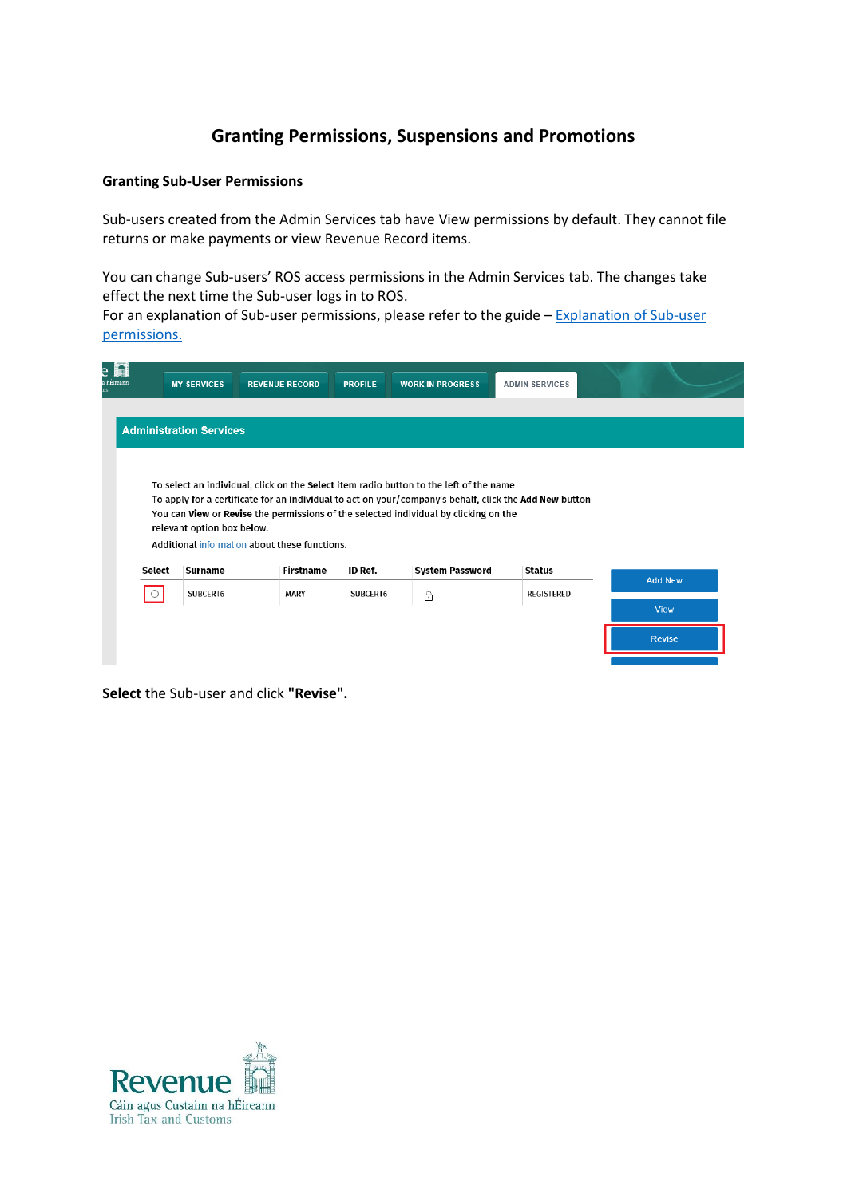# **Granting Permissions, Suspensions and Promotions**

# **Granting Sub-User Permissions**

Sub-users created from the Admin Services tab have View permissions by default. They cannot file returns or make payments or view Revenue Record items.

You can change Sub-users' ROS access permissions in the Admin Services tab. The changes take effect the next time the Sub-user logs in to ROS.

For an explanation [of Sub-user](https://www.revenue.ie/en/online-services/support/documents/ros-help/explanation-sub-user-permissions.pdf) permissions, please refer to the guide – Explanation of Sub-user [permissions.](https://www.revenue.ie/en/online-services/support/documents/ros-help/explanation-sub-user-permissions.pdf)

|         | <b>MY SERVICES</b>             | <b>REVENUE RECORD</b>                         | <b>PROFILE</b> | <b>WORK IN PROGRESS</b>                                                                                                                                                                          | <b>ADMIN SERVICES</b> |                |
|---------|--------------------------------|-----------------------------------------------|----------------|--------------------------------------------------------------------------------------------------------------------------------------------------------------------------------------------------|-----------------------|----------------|
|         |                                |                                               |                |                                                                                                                                                                                                  |                       |                |
|         | <b>Administration Services</b> |                                               |                |                                                                                                                                                                                                  |                       |                |
|         |                                |                                               |                |                                                                                                                                                                                                  |                       |                |
|         |                                |                                               |                | To select an individual, click on the Select item radio button to the left of the name<br>To apply for a certificate for an individual to act on your/company's behalf, click the Add New button |                       |                |
|         |                                |                                               |                | You can View or Revise the permissions of the selected individual by clicking on the                                                                                                             |                       |                |
|         | relevant option box below.     | Additional information about these functions. |                |                                                                                                                                                                                                  |                       |                |
| Select  | Surname                        | Firstname                                     | ID Ref.        | System Password                                                                                                                                                                                  | Status                |                |
| $\circ$ | SUBCERT6                       | <b>MARY</b>                                   | SUBCERT6       | 6                                                                                                                                                                                                | <b>REGISTERED</b>     | <b>Add New</b> |
|         |                                |                                               |                |                                                                                                                                                                                                  |                       | View           |
|         |                                |                                               |                |                                                                                                                                                                                                  |                       |                |
|         |                                |                                               |                |                                                                                                                                                                                                  |                       | Revise         |

**Select** the Sub-user and click **"Revise".** 

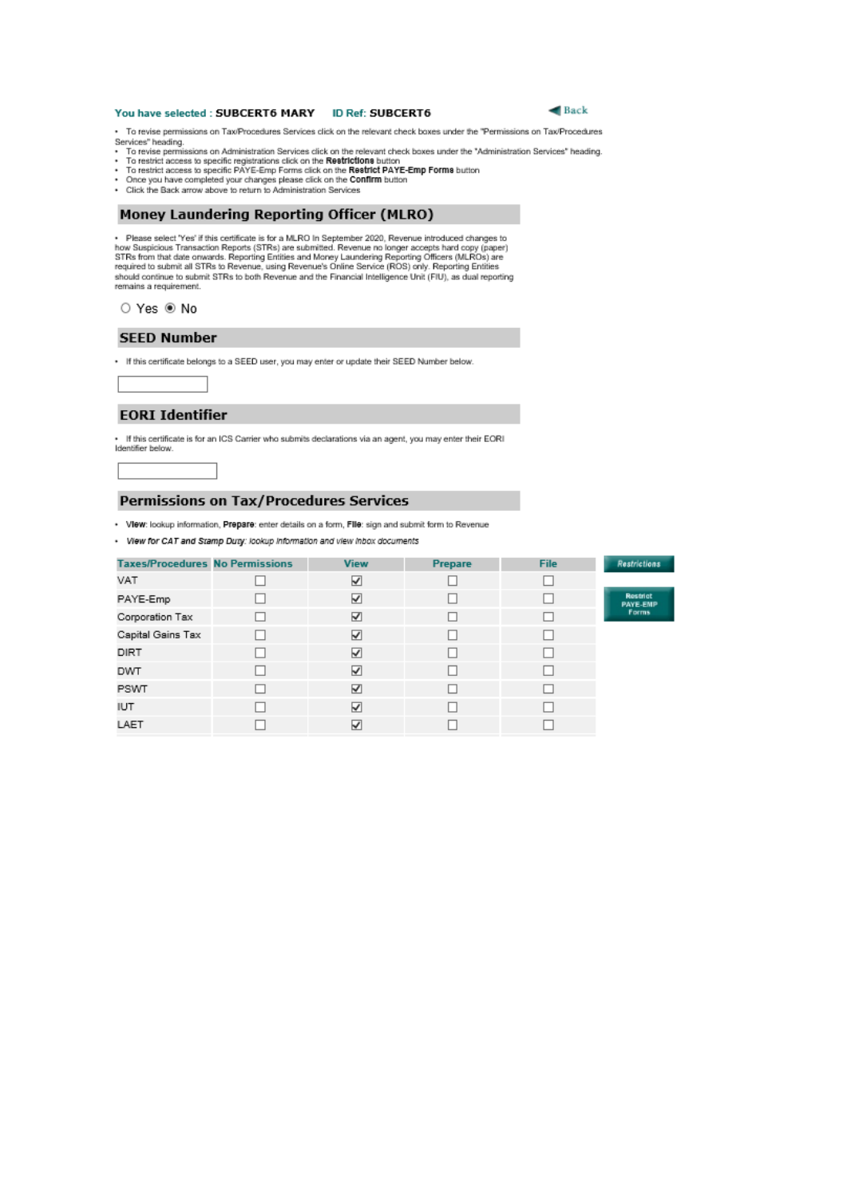#### You have selected : SUBCERT6 MARY **ID Ref: SUBCERT6**



· To revise permissions on Tax/Procedures Services click on the relevant check boxes under the "Permissions on Tax/Procedures -<br>
Services "heading.<br>
Services" heading.<br>
To revise permissions on Administration Services click on the relevant check boxes under the "Administration Services" heading.<br>
• To restrict access to specific registrations cli

- 
- 
- 
- · Click the Back arrow above to return to Administration Services

#### **Money Laundering Reporting Officer (MLRO)**

- Please select 'Yes' if this certificate is for a MLRO In September 2020, Revenue introduced changes to how Suspicious Transaction Reports (STRs) are submitted. Revenue no longer accepts hard copy (paper) STRs from that d should continue to submit STRs to both Revenue and the Financial Intelligence Unit (FIU), as dual reporting remains a requirement.

#### ○ Yes <sup>●</sup> No

#### **SEED Number**

. If this certificate belongs to a SEED user, you may enter or update their SEED Number below.

### **EORI Identifier**

If this certificate is for an ICS Carrier who submits declarations via an agent, you may enter their EORI Identifier below

#### Permissions on Tax/Procedures Services

· View: lookup information, Prepare: enter details on a form, Fille: sign and submit form to Revenue

· View for CAT and Stamp Duty: lookup Information and view inbox documents

| <b>Taxes/Procedures No Permissions</b> | <b>View</b> | Prepare | File | <b>Restrictions</b>         |
|----------------------------------------|-------------|---------|------|-----------------------------|
| VAT                                    | ⊻           |         |      |                             |
| PAYE-Emp                               | V           |         |      | Restrict<br><b>PAYE-EMP</b> |
| Corporation Tax                        | ☑           |         | □    | Forms                       |
| Capital Gains Tax                      | ⊻           |         |      |                             |
| DIRT                                   | V           |         |      |                             |
| <b>DWT</b>                             | ☑           |         |      |                             |
| PSWT                                   | ☑           |         |      |                             |
| <b>IUT</b>                             | V           |         |      |                             |
| LAET                                   | ⊻           |         |      |                             |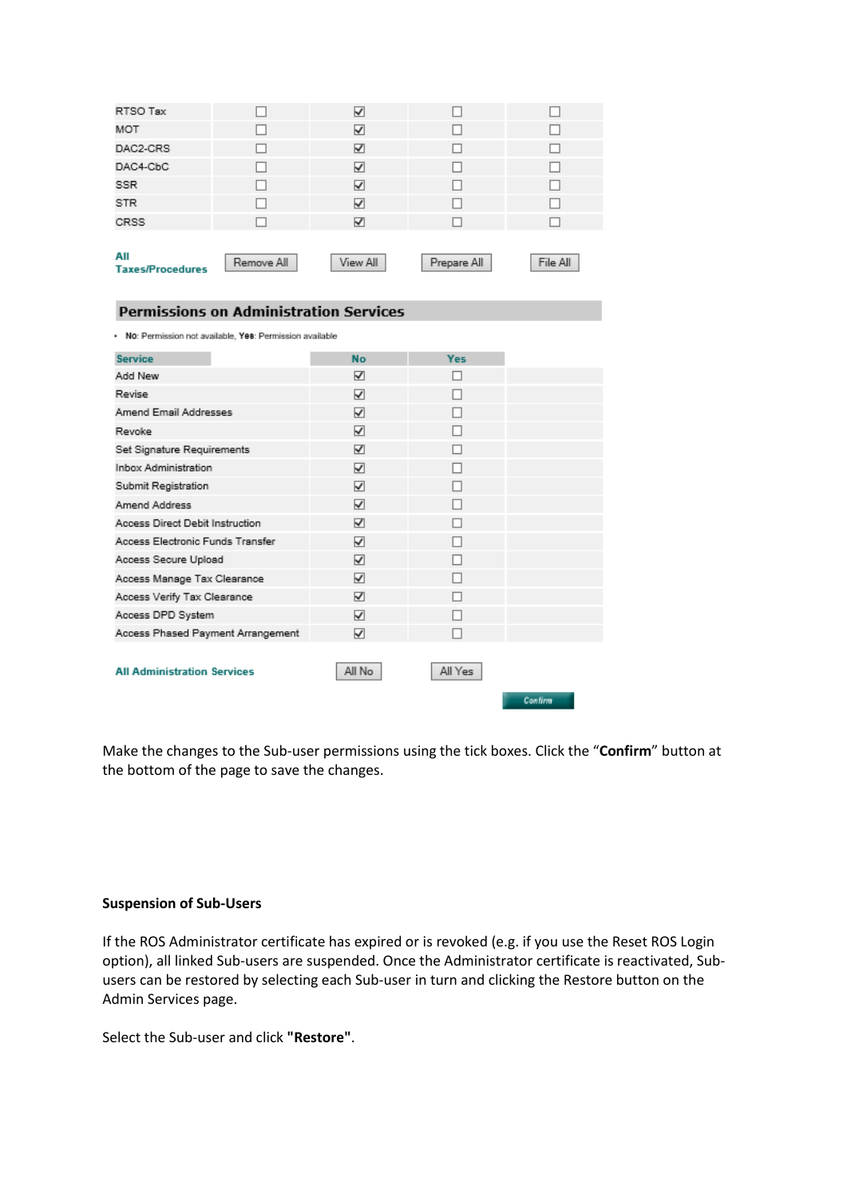| ⊽ |  |
|---|--|
| ∀ |  |
| √ |  |
| ▽ |  |
| ⊽ |  |
| V |  |
| √ |  |
|   |  |

#### **Permissions on Administration Services**

| No: Permission not available, Yes: Permission available |  |  |
|---------------------------------------------------------|--|--|
|---------------------------------------------------------|--|--|

| ☑<br>⊽<br>⊽ | п<br>п  |         |
|-------------|---------|---------|
|             |         |         |
|             |         |         |
|             | П       |         |
| ⊽           | H       |         |
| ⊽           | п       |         |
| ⊽           |         |         |
| ⊽           |         |         |
| ⊽           | ш       |         |
| ⊽           | п       |         |
| ⊽           |         |         |
| ⊽           | п       |         |
| ⊽           | п       |         |
| ⊽           | П       |         |
| ⊽           |         |         |
| ⊽           |         |         |
| All No      | All Yes | Confirm |
|             |         |         |

Make the changes to the Sub-user permissions using the tick boxes. Click the "**Confirm**" button at the bottom of the page to save the changes.

## **Suspension of Sub-Users**

If the ROS Administrator certificate has expired or is revoked (e.g. if you use the Reset ROS Login option), all linked Sub-users are suspended. Once the Administrator certificate is reactivated, Subusers can be restored by selecting each Sub-user in turn and clicking the Restore button on the Admin Services page.

Select the Sub-user and click **"Restore"**.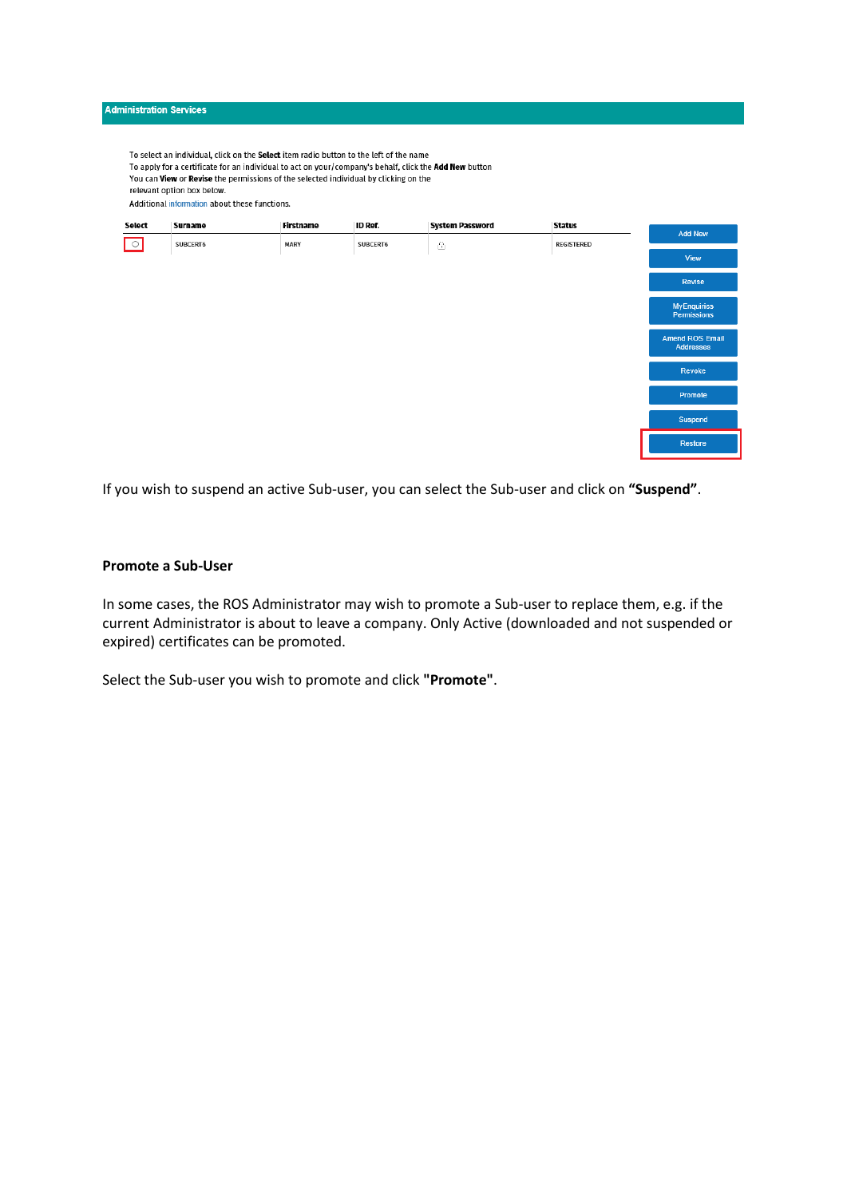

To select an individual, click on the Select item radio button to the left of the name To apply for a certificate for an individual to act on your/company's behalf, click the Add New button You can View or Revise the permissions of the selected individual by clicking on the relevant option box below. Additional information about these functions.



If you wish to suspend an active Sub-user, you can select the Sub-user and click on **"Suspend"**.

## **Promote a Sub-User**

In some cases, the ROS Administrator may wish to promote a Sub-user to replace them, e.g. if the current Administrator is about to leave a company. Only Active (downloaded and not suspended or expired) certificates can be promoted.

Select the Sub-user you wish to promote and click **"Promote"**.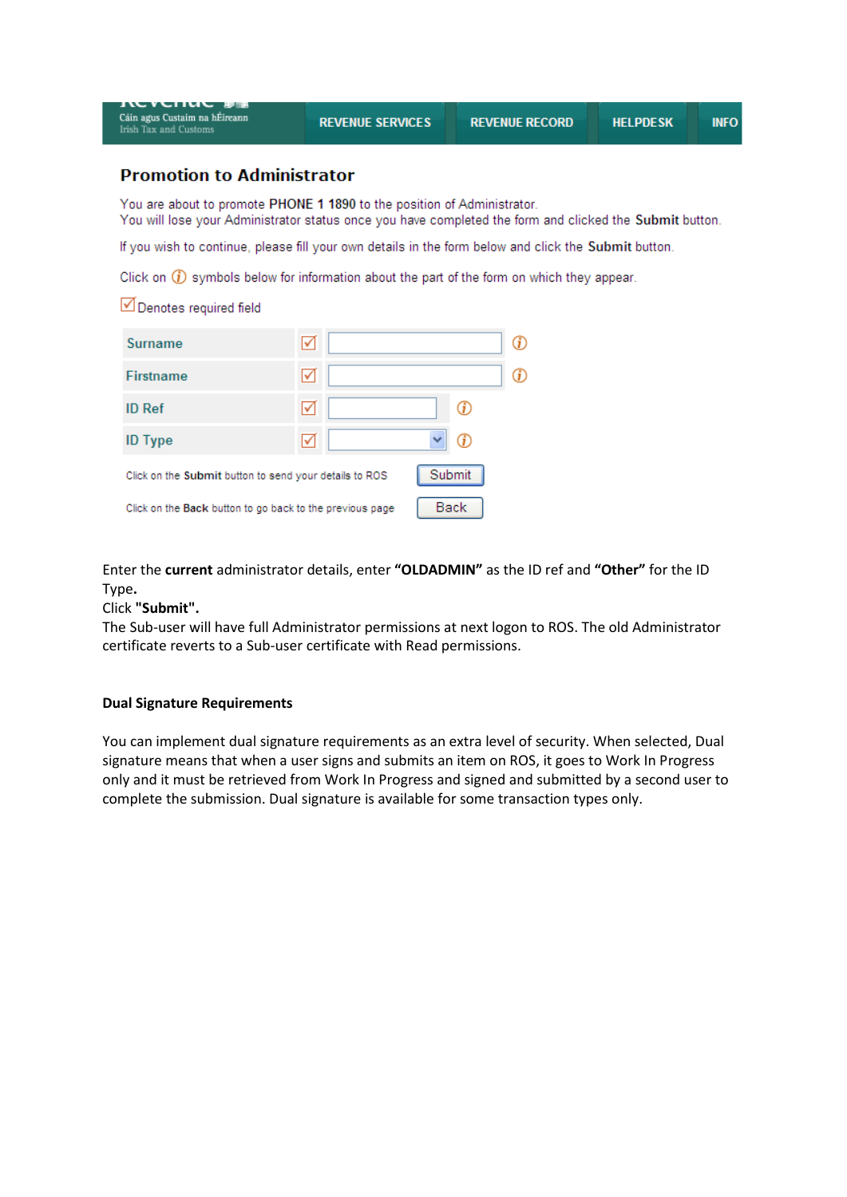| IN YUNU BR<br>Cáin agus Custaim na hÉireann<br><b>Irish Tax and Customs</b>                           | <b>REVENUE SERVICES</b>                                                                                                                                                            | <b>REVENUE RECORD</b> | <b>HELPDESK</b> | <b>INFO</b> |  |  |  |  |
|-------------------------------------------------------------------------------------------------------|------------------------------------------------------------------------------------------------------------------------------------------------------------------------------------|-----------------------|-----------------|-------------|--|--|--|--|
| <b>Promotion to Administrator</b>                                                                     |                                                                                                                                                                                    |                       |                 |             |  |  |  |  |
|                                                                                                       | You are about to promote PHONE 1 1890 to the position of Administrator.<br>You will lose your Administrator status once you have completed the form and clicked the Submit button. |                       |                 |             |  |  |  |  |
| If you wish to continue, please fill your own details in the form below and click the Submit button.  |                                                                                                                                                                                    |                       |                 |             |  |  |  |  |
| Click on $\circled{f}$ symbols below for information about the part of the form on which they appear. |                                                                                                                                                                                    |                       |                 |             |  |  |  |  |
| Denotes required field                                                                                |                                                                                                                                                                                    |                       |                 |             |  |  |  |  |
| Surname                                                                                               | ☑                                                                                                                                                                                  | ⊕                     |                 |             |  |  |  |  |
| <b>Firstname</b>                                                                                      | ☑                                                                                                                                                                                  | ⊕                     |                 |             |  |  |  |  |
| <b>ID Ref</b>                                                                                         | ☑                                                                                                                                                                                  | G)                    |                 |             |  |  |  |  |
| <b>ID</b> Type                                                                                        | ☑                                                                                                                                                                                  | ⊕                     |                 |             |  |  |  |  |
| Click on the Submit button to send your details to ROS                                                | Submit                                                                                                                                                                             |                       |                 |             |  |  |  |  |

Click on the Back button to go back to the previous page

Enter the **current** administrator details, enter **"OLDADMIN"** as the ID ref and **"Other"** for the ID Type**.**

Back

Click **"Submit".** 

The Sub-user will have full Administrator permissions at next logon to ROS. The old Administrator certificate reverts to a Sub-user certificate with Read permissions.

#### **Dual Signature Requirements**

You can implement dual signature requirements as an extra level of security. When selected, Dual signature means that when a user signs and submits an item on ROS, it goes to Work In Progress only and it must be retrieved from Work In Progress and signed and submitted by a second user to complete the submission. Dual signature is available for some transaction types only.